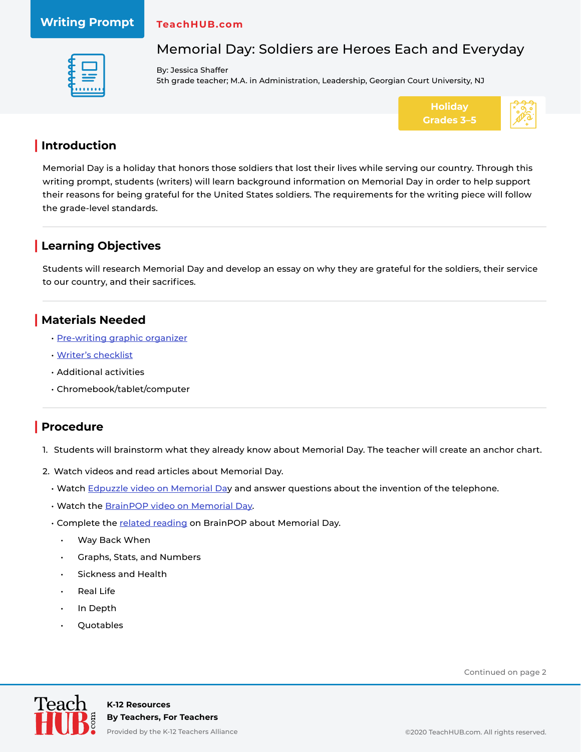# **Writing Prompt**

#### **TeachHUB.com**



# Memorial Day: Soldiers are Heroes Each and Everyday

By: Jessica Shaffer 5th grade teacher; M.A. in Administration, Leadership, Georgian Court University, NJ



## **| Introduction**

Memorial Day is a holiday that honors those soldiers that lost their lives while serving our country. Through this writing prompt, students (writers) will learn background information on Memorial Day in order to help support their reasons for being grateful for the United States soldiers. The requirements for the writing piece will follow the grade-level standards.

## **| Learning Objectives**

Students will research Memorial Day and develop an essay on why they are grateful for the soldiers, their service to our country, and their sacrifices.

## **| Materials Needed**

- [Pre-writing graphic organizer](https://teachhub.wpengine.com/wp-content/uploads/2020/06/TeachHUB_WP_Memorial-Day-Soliders-are-Heroes_Materials.pdf)
- [Writer's checklist](https://teachhub.wpengine.com/wp-content/uploads/2020/06/TeachHUB_WP_Memorial-Day-Soliders-are-Heroes_Materials.pdf)
- Additional activities
- Chromebook/tablet/computer

## **| Procedure**

- 1. Students will brainstorm what they already know about Memorial Day. The teacher will create an anchor chart.
- 2. Watch videos and read articles about Memorial Day.
	- Watch [Edpuzzle video on Memorial Day](https://edpuzzle.com/media/5ed0807d65560f3fa66e1ed9) and answer questions about the invention of the telephone.
	- Watch the [BrainPOP video on Memorial Day.](https://www.brainpop.com/socialstudies/ushistory/memorialday/)
	- Complete the [related reading](https://www.brainpop.com/socialstudies/ushistory/memorialday/relatedreading/#tab=0) on BrainPOP about Memorial Day.
		- Way Back When
		- Graphs, Stats, and Numbers
		- Sickness and Health
		- **Real Life**
		- In Depth
		- Quotables

Continued on page 2

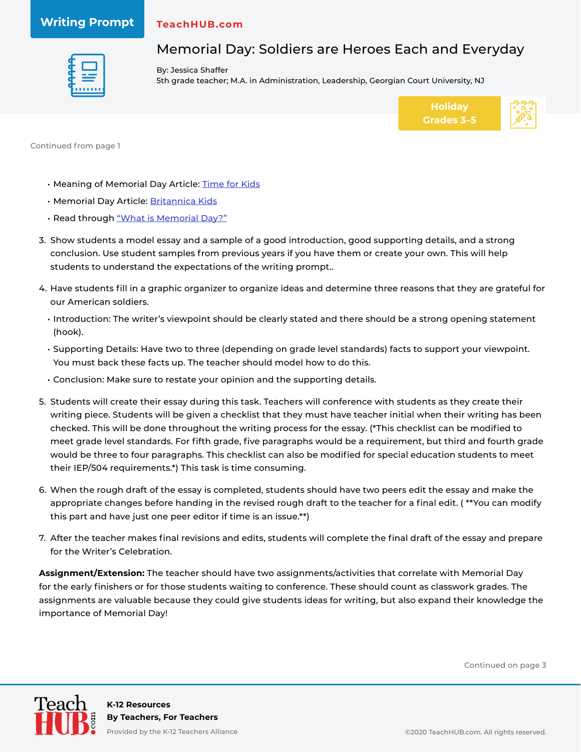### **Writing Prompt**

#### **TeachHUB.com**



Memorial Day: Soldiers are Heroes Each and Everyday

By: Jessica Shaffer 5th grade teacher; M.A. in Administration, Leadership, Georgian Court University, NJ



Continued from page 1

- Meaning of Memorial Day Article: [Time for Kids](https://www.timeforkids.com/g56/meaning-memorial-day/)
- Memorial Day Article: [Britannica Kids](https://kids.britannica.com/kids/article/Memorial-Day/399542)
- Read through ["What is Memorial Day?"](http://www.theholidayzone.com/memorial/What_is_Memorial_Day.pdf)
- 3. Show students a model essay and a sample of a good introduction, good supporting details, and a strong conclusion. Use student samples from previous years if you have them or create your own. This will help students to understand the expectations of the writing prompt..
- 4. Have students fill in a graphic organizer to organize ideas and determine three reasons that they are grateful for our American soldiers.
	- Introduction: The writer's viewpoint should be clearly stated and there should be a strong opening statement (hook).
	- Supporting Details: Have two to three (depending on grade level standards) facts to support your viewpoint. You must back these facts up. The teacher should model how to do this.
	- Conclusion: Make sure to restate your opinion and the supporting details.
- 5. Students will create their essay during this task. Teachers will conference with students as they create their writing piece. Students will be given a checklist that they must have teacher initial when their writing has been checked. This will be done throughout the writing process for the essay. (\*This checklist can be modified to meet grade level standards. For fifth grade, five paragraphs would be a requirement, but third and fourth grade would be three to four paragraphs. This checklist can also be modified for special education students to meet their IEP/504 requirements.\*) This task is time consuming.
- 6. When the rough draft of the essay is completed, students should have two peers edit the essay and make the appropriate changes before handing in the revised rough draft to the teacher for a final edit. ( \*\*You can modify this part and have just one peer editor if time is an issue.\*\*)
- 7. After the teacher makes final revisions and edits, students will complete the final draft of the essay and prepare for the Writer's Celebration.

**Assignment/Extension:** The teacher should have two assignments/activities that correlate with Memorial Day for the early finishers or for those students waiting to conference. These should count as classwork grades. The assignments are valuable because they could give students ideas for writing, but also expand their knowledge the importance of Memorial Day!

Continued on page 3